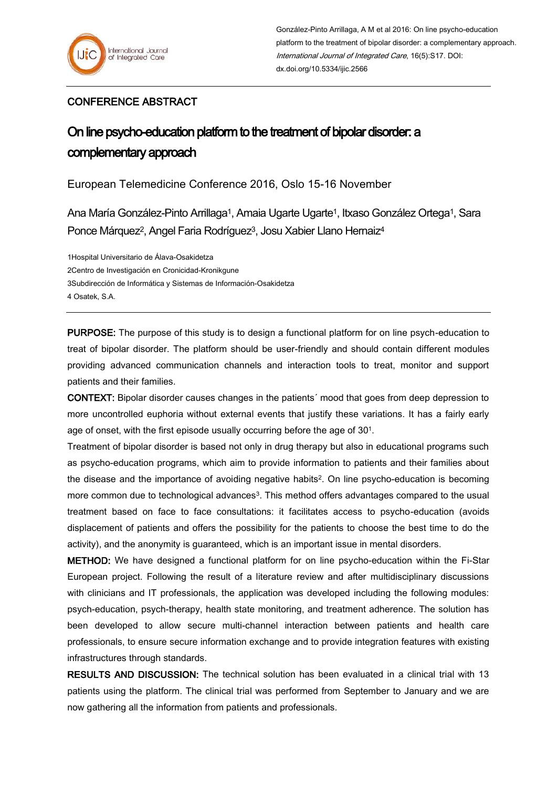## CONFERENCE ABSTRACT

## On line psycho-education platform to the treatment of bipolar disorder: a complementary approach

European Telemedicine Conference 2016, Oslo 15-16 November

Ana María González-Pinto Arrillaga<sup>1</sup>, Amaia Ugarte Ugarte<sup>1</sup>, Itxaso González Ortega<sup>1</sup>, Sara Ponce Márquez<sup>2</sup>, Angel Faria Rodríguez<sup>3</sup>, Josu Xabier Llano Hernaiz<sup>4</sup>

1Hospital Universitario de Álava-Osakidetza 2Centro de Investigación en Cronicidad-Kronikgune 3Subdirección de Informática y Sistemas de Información-Osakidetza 4 Osatek, S.A.

PURPOSE: The purpose of this study is to design a functional platform for on line psych-education to treat of bipolar disorder. The platform should be user-friendly and should contain different modules providing advanced communication channels and interaction tools to treat, monitor and support patients and their families.

CONTEXT: Bipolar disorder causes changes in the patients´ mood that goes from deep depression to more uncontrolled euphoria without external events that justify these variations. It has a fairly early age of onset, with the first episode usually occurring before the age of 301.

Treatment of bipolar disorder is based not only in drug therapy but also in educational programs such as psycho-education programs, which aim to provide information to patients and their families about the disease and the importance of avoiding negative habits2. On line psycho-education is becoming more common due to technological advances<sup>3</sup>. This method offers advantages compared to the usual treatment based on face to face consultations: it facilitates access to psycho-education (avoids displacement of patients and offers the possibility for the patients to choose the best time to do the activity), and the anonymity is guaranteed, which is an important issue in mental disorders.

METHOD: We have designed a functional platform for on line psycho-education within the Fi-Star European project. Following the result of a literature review and after multidisciplinary discussions with clinicians and IT professionals, the application was developed including the following modules: psych-education, psych-therapy, health state monitoring, and treatment adherence. The solution has been developed to allow secure multi-channel interaction between patients and health care professionals, to ensure secure information exchange and to provide integration features with existing infrastructures through standards.

RESULTS AND DISCUSSION: The technical solution has been evaluated in a clinical trial with 13 patients using the platform. The clinical trial was performed from September to January and we are now gathering all the information from patients and professionals.